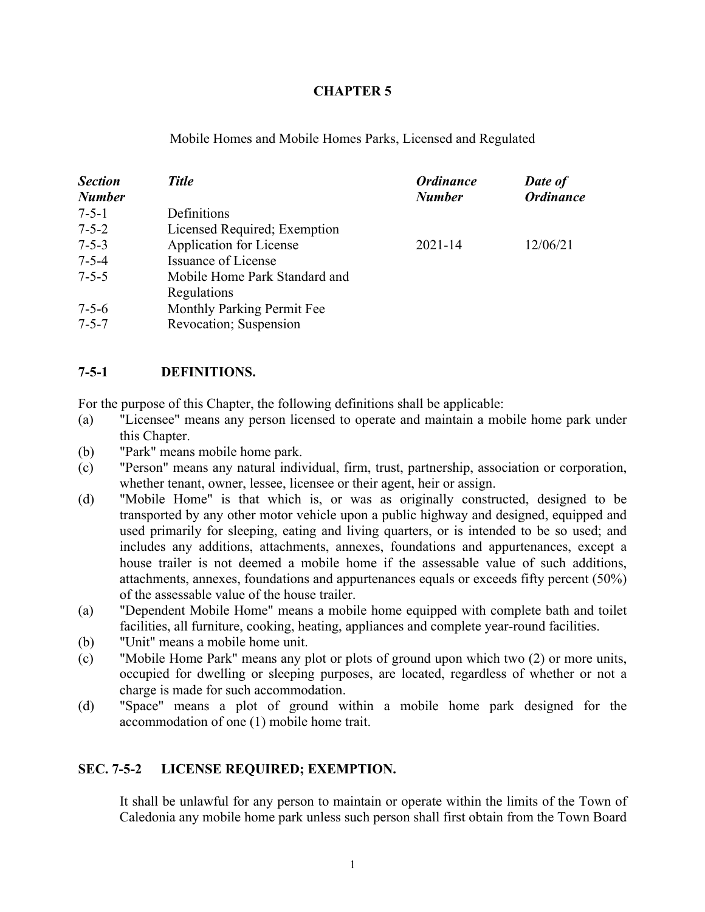### **CHAPTER 5**

Mobile Homes and Mobile Homes Parks, Licensed and Regulated

| <b>Section</b><br><b>Number</b> | <b>Title</b>                   | <b>Ordinance</b><br><b>Number</b> | Date of<br><b>Ordinance</b> |
|---------------------------------|--------------------------------|-----------------------------------|-----------------------------|
| $7 - 5 - 1$                     | Definitions                    |                                   |                             |
| $7 - 5 - 2$                     | Licensed Required; Exemption   |                                   |                             |
| $7 - 5 - 3$                     | <b>Application for License</b> | $2021 - 14$                       | 12/06/21                    |
| $7 - 5 - 4$                     | Issuance of License            |                                   |                             |
| $7 - 5 - 5$                     | Mobile Home Park Standard and  |                                   |                             |
|                                 | Regulations                    |                                   |                             |
| $7 - 5 - 6$                     | Monthly Parking Permit Fee     |                                   |                             |
| $7 - 5 - 7$                     | Revocation; Suspension         |                                   |                             |

### **7-5-1 DEFINITIONS.**

For the purpose of this Chapter, the following definitions shall be applicable:

- (a) "Licensee" means any person licensed to operate and maintain a mobile home park under this Chapter.
- (b) "Park" means mobile home park.
- (c) "Person" means any natural individual, firm, trust, partnership, association or corporation, whether tenant, owner, lessee, licensee or their agent, heir or assign.
- (d) "Mobile Home" is that which is, or was as originally constructed, designed to be transported by any other motor vehicle upon a public highway and designed, equipped and used primarily for sleeping, eating and living quarters, or is intended to be so used; and includes any additions, attachments, annexes, foundations and appurtenances, except a house trailer is not deemed a mobile home if the assessable value of such additions, attachments, annexes, foundations and appurtenances equals or exceeds fifty percent (50%) of the assessable value of the house trailer.
- (a) "Dependent Mobile Home" means a mobile home equipped with complete bath and toilet facilities, all furniture, cooking, heating, appliances and complete year-round facilities.
- (b) "Unit" means a mobile home unit.
- (c) "Mobile Home Park" means any plot or plots of ground upon which two (2) or more units, occupied for dwelling or sleeping purposes, are located, regardless of whether or not a charge is made for such accommodation.
- (d) "Space" means a plot of ground within a mobile home park designed for the accommodation of one (1) mobile home trait.

## **SEC. 7-5-2 LICENSE REQUIRED; EXEMPTION.**

It shall be unlawful for any person to maintain or operate within the limits of the Town of Caledonia any mobile home park unless such person shall first obtain from the Town Board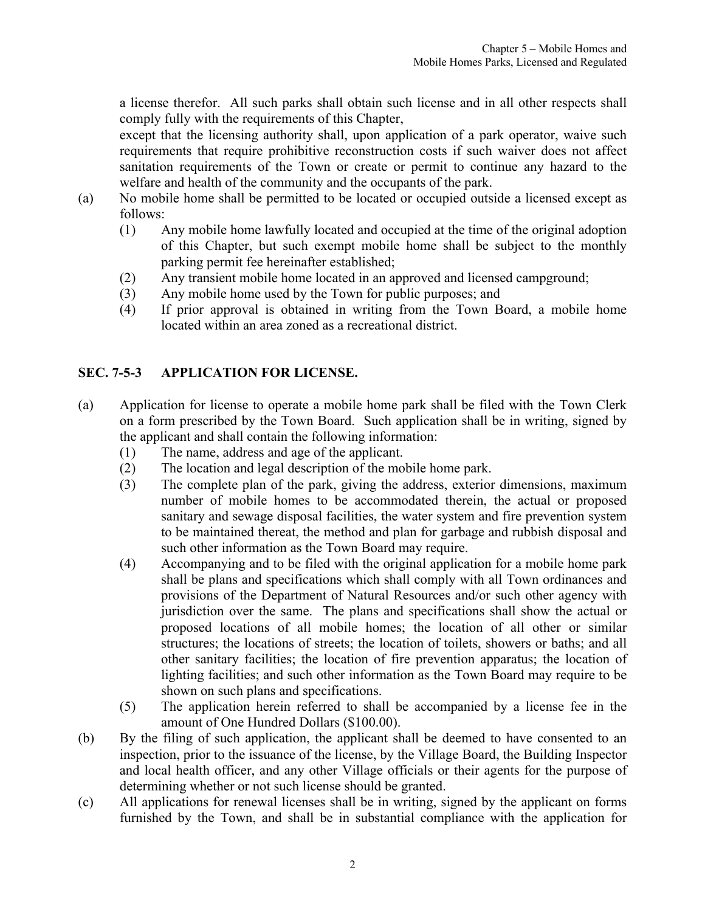<span id="page-1-0"></span>a license therefor. All such parks shall obtain such license and in all other respects shall comply fully with the requirements of this Chapter,

except that the licensing authority shall, upon application of a park operator, waive such requirements that require prohibitive reconstruction costs if such waiver does not affect sanitation requirements of the Town or create or permit to continue any hazard to the welfare and health of the community and the occupants of the park.

- (a) No mobile home shall be permitted to be located or occupied outside a licensed except as follows:
	- (1) Any mobile home lawfully located and occupied at the time of the original adoption of this Chapter, but such exempt mobile home shall be subject to the monthly parking permit fee hereinafter established;
	- (2) Any transient mobile home located in an approved and licensed campground;
	- (3) Any mobile home used by the Town for public purposes; and
	- (4) If prior approval is obtained in writing from the Town Board, a mobile home located within an area zoned as a recreational district.

# **SEC. 7-5-3 APPLICATION FOR LICENSE.**

- (a) Application for license to operate a mobile home park shall be filed with the Town Clerk on a form prescribed by the Town Board. Such application shall be in writing, signed by the applicant and shall contain the following information:
	- (1) The name, address and age of the applicant.
	- (2) The location and legal description of the mobile home park.
	- (3) The complete plan of the park, giving the address, exterior dimensions, maximum number of mobile homes to be accommodated therein, the actual or proposed sanitary and sewage disposal facilities, the water system and fire prevention system to be maintained thereat, the method and plan for garbage and rubbish disposal and such other information as the Town Board may require.
	- (4) Accompanying and to be filed with the original application for a mobile home park shall be plans and specifications which shall comply with all Town ordinances and provisions of the Department of Natural Resources and/or such other agency with jurisdiction over the same. The plans and specifications shall show the actual or proposed locations of all mobile homes; the location of all other or similar structures; the locations of streets; the location of toilets, showers or baths; and all other sanitary facilities; the location of fire prevention apparatus; the location of lighting facilities; and such other information as the Town Board may require to be shown on such plans and specifications.
	- (5) The application herein referred to shall be accompanied by a license fee in the amount of One Hundred Dollars (\$100.00).
- (b) By the filing of such application, the applicant shall be deemed to have consented to an inspection, prior to the issuance of the license, by the Village Board, the Building Inspector and local health officer, and any other Village officials or their agents for the purpose of determining whether or not such license should be granted.
- (c) All applications for renewal licenses shall be in writing, signed by the applicant on forms furnished by the Town, and shall be in substantial compliance with the application for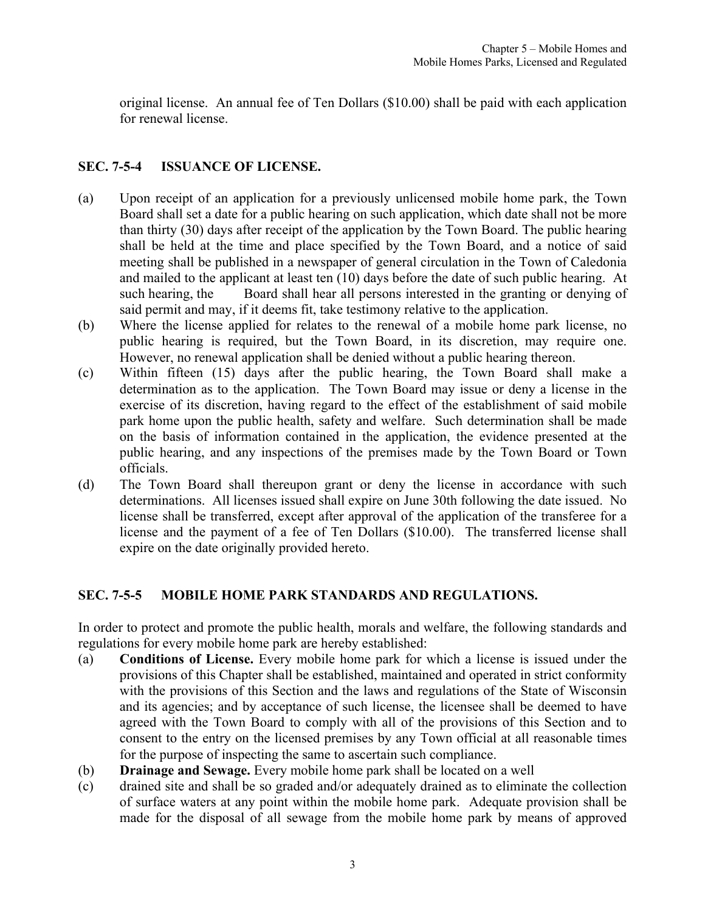<span id="page-2-0"></span>original license. An annual fee of Ten Dollars (\$10.00) shall be paid with each application for renewal license.

## **SEC. 7-5-4 ISSUANCE OF LICENSE.**

- (a) Upon receipt of an application for a previously unlicensed mobile home park, the Town Board shall set a date for a public hearing on such application, which date shall not be more than thirty (30) days after receipt of the application by the Town Board. The public hearing shall be held at the time and place specified by the Town Board, and a notice of said meeting shall be published in a newspaper of general circulation in the Town of Caledonia and mailed to the applicant at least ten (10) days before the date of such public hearing. At such hearing, the Board shall hear all persons interested in the granting or denying of said permit and may, if it deems fit, take testimony relative to the application.
- (b) Where the license applied for relates to the renewal of a mobile home park license, no public hearing is required, but the Town Board, in its discretion, may require one. However, no renewal application shall be denied without a public hearing thereon.
- (c) Within fifteen (15) days after the public hearing, the Town Board shall make a determination as to the application. The Town Board may issue or deny a license in the exercise of its discretion, having regard to the effect of the establishment of said mobile park home upon the public health, safety and welfare. Such determination shall be made on the basis of information contained in the application, the evidence presented at the public hearing, and any inspections of the premises made by the Town Board or Town officials.
- (d) The Town Board shall thereupon grant or deny the license in accordance with such determinations. All licenses issued shall expire on June 30th following the date issued. No license shall be transferred, except after approval of the application of the transferee for a license and the payment of a fee of Ten Dollars (\$10.00). The transferred license shall expire on the date originally provided hereto.

# **SEC. 7-5-5 MOBILE HOME PARK STANDARDS AND REGULATIONS.**

In order to protect and promote the public health, morals and welfare, the following standards and regulations for every mobile home park are hereby established:

- (a) **Conditions of License.** Every mobile home park for which a license is issued under the provisions of this Chapter shall be established, maintained and operated in strict conformity with the provisions of this Section and the laws and regulations of the State of Wisconsin and its agencies; and by acceptance of such license, the licensee shall be deemed to have agreed with the Town Board to comply with all of the provisions of this Section and to consent to the entry on the licensed premises by any Town official at all reasonable times for the purpose of inspecting the same to ascertain such compliance.
- (b) **Drainage and Sewage.** Every mobile home park shall be located on a well
- (c) drained site and shall be so graded and/or adequately drained as to eliminate the collection of surface waters at any point within the mobile home park. Adequate provision shall be made for the disposal of all sewage from the mobile home park by means of approved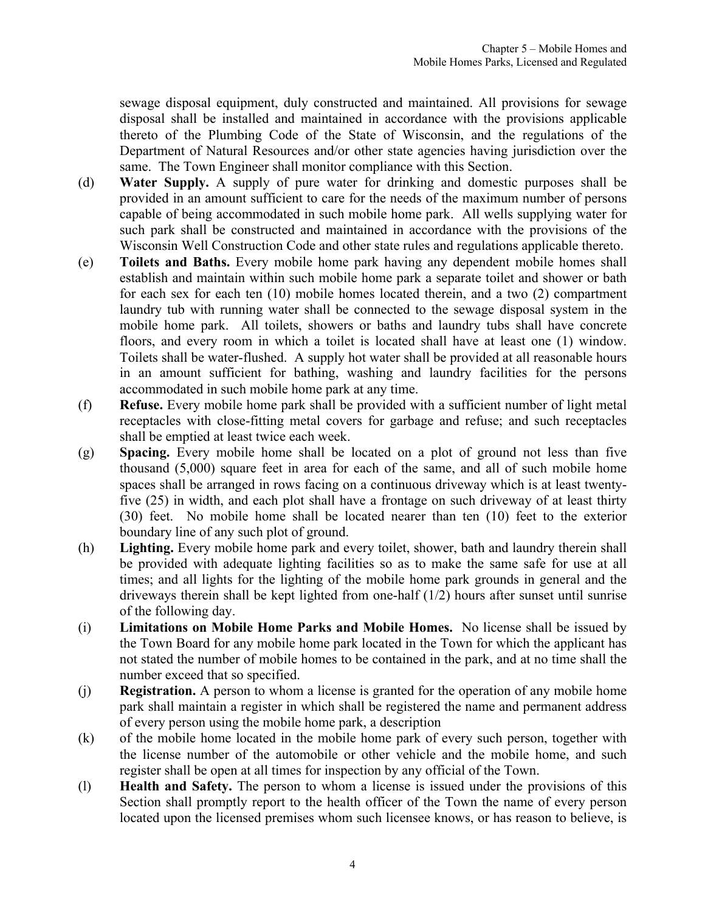sewage disposal equipment, duly constructed and maintained. All provisions for sewage disposal shall be installed and maintained in accordance with the provisions applicable thereto of the Plumbing Code of the State of Wisconsin, and the regulations of the Department of Natural Resources and/or other state agencies having jurisdiction over the same. The Town Engineer shall monitor compliance with this Section.

- (d) **Water Supply.** A supply of pure water for drinking and domestic purposes shall be provided in an amount sufficient to care for the needs of the maximum number of persons capable of being accommodated in such mobile home park. All wells supplying water for such park shall be constructed and maintained in accordance with the provisions of the Wisconsin Well Construction Code and other state rules and regulations applicable thereto.
- (e) **Toilets and Baths.** Every mobile home park having any dependent mobile homes shall establish and maintain within such mobile home park a separate toilet and shower or bath for each sex for each ten (10) mobile homes located therein, and a two (2) compartment laundry tub with running water shall be connected to the sewage disposal system in the mobile home park. All toilets, showers or baths and laundry tubs shall have concrete floors, and every room in which a toilet is located shall have at least one (1) window. Toilets shall be water-flushed. A supply hot water shall be provided at all reasonable hours in an amount sufficient for bathing, washing and laundry facilities for the persons accommodated in such mobile home park at any time.
- (f) **Refuse.** Every mobile home park shall be provided with a sufficient number of light metal receptacles with close-fitting metal covers for garbage and refuse; and such receptacles shall be emptied at least twice each week.
- (g) **Spacing.** Every mobile home shall be located on a plot of ground not less than five thousand (5,000) square feet in area for each of the same, and all of such mobile home spaces shall be arranged in rows facing on a continuous driveway which is at least twentyfive (25) in width, and each plot shall have a frontage on such driveway of at least thirty (30) feet. No mobile home shall be located nearer than ten (10) feet to the exterior boundary line of any such plot of ground.
- (h) **Lighting.** Every mobile home park and every toilet, shower, bath and laundry therein shall be provided with adequate lighting facilities so as to make the same safe for use at all times; and all lights for the lighting of the mobile home park grounds in general and the driveways therein shall be kept lighted from one-half (1/2) hours after sunset until sunrise of the following day.
- (i) **Limitations on Mobile Home Parks and Mobile Homes.** No license shall be issued by the Town Board for any mobile home park located in the Town for which the applicant has not stated the number of mobile homes to be contained in the park, and at no time shall the number exceed that so specified.
- (j) **Registration.** A person to whom a license is granted for the operation of any mobile home park shall maintain a register in which shall be registered the name and permanent address of every person using the mobile home park, a description
- (k) of the mobile home located in the mobile home park of every such person, together with the license number of the automobile or other vehicle and the mobile home, and such register shall be open at all times for inspection by any official of the Town.
- (l) **Health and Safety.** The person to whom a license is issued under the provisions of this Section shall promptly report to the health officer of the Town the name of every person located upon the licensed premises whom such licensee knows, or has reason to believe, is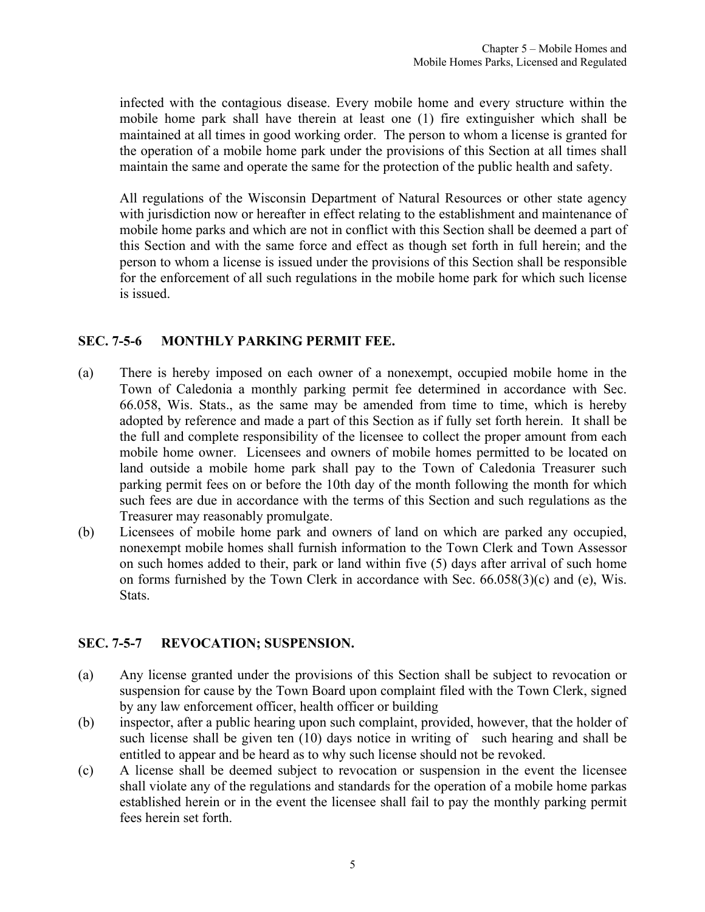<span id="page-4-0"></span>infected with the contagious disease. Every mobile home and every structure within the mobile home park shall have therein at least one (1) fire extinguisher which shall be maintained at all times in good working order. The person to whom a license is granted for the operation of a mobile home park under the provisions of this Section at all times shall maintain the same and operate the same for the protection of the public health and safety.

All regulations of the Wisconsin Department of Natural Resources or other state agency with jurisdiction now or hereafter in effect relating to the establishment and maintenance of mobile home parks and which are not in conflict with this Section shall be deemed a part of this Section and with the same force and effect as though set forth in full herein; and the person to whom a license is issued under the provisions of this Section shall be responsible for the enforcement of all such regulations in the mobile home park for which such license is issued.

### **SEC. 7-5-6 MONTHLY PARKING PERMIT FEE.**

- (a) There is hereby imposed on each owner of a nonexempt, occupied mobile home in the Town of Caledonia a monthly parking permit fee determined in accordance with Sec. 66.058, Wis. Stats., as the same may be amended from time to time, which is hereby adopted by reference and made a part of this Section as if fully set forth herein. It shall be the full and complete responsibility of the licensee to collect the proper amount from each mobile home owner. Licensees and owners of mobile homes permitted to be located on land outside a mobile home park shall pay to the Town of Caledonia Treasurer such parking permit fees on or before the 10th day of the month following the month for which such fees are due in accordance with the terms of this Section and such regulations as the Treasurer may reasonably promulgate.
- (b) Licensees of mobile home park and owners of land on which are parked any occupied, nonexempt mobile homes shall furnish information to the Town Clerk and Town Assessor on such homes added to their, park or land within five (5) days after arrival of such home on forms furnished by the Town Clerk in accordance with Sec. 66.058(3)(c) and (e), Wis. Stats.

## **SEC. 7-5-7 REVOCATION; SUSPENSION.**

- (a) Any license granted under the provisions of this Section shall be subject to revocation or suspension for cause by the Town Board upon complaint filed with the Town Clerk, signed by any law enforcement officer, health officer or building
- (b) inspector, after a public hearing upon such complaint, provided, however, that the holder of such license shall be given ten (10) days notice in writing of such hearing and shall be entitled to appear and be heard as to why such license should not be revoked.
- (c) A license shall be deemed subject to revocation or suspension in the event the licensee shall violate any of the regulations and standards for the operation of a mobile home parkas established herein or in the event the licensee shall fail to pay the monthly parking permit fees herein set forth.